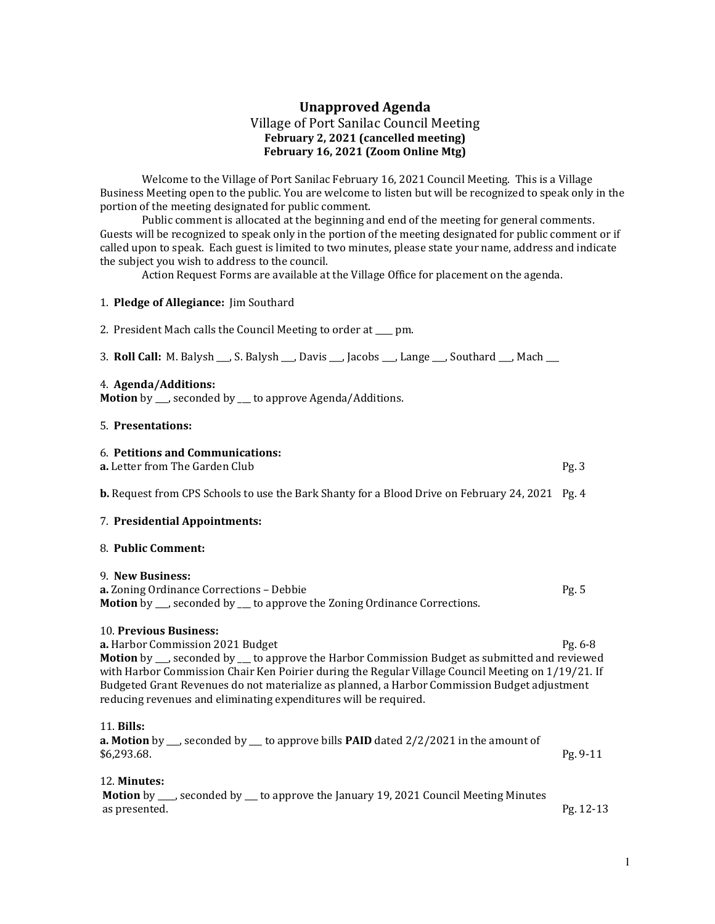# Unapproved Agenda Village of Port Sanilac Council Meeting February 2, 2021 (cancelled meeting) February 16, 2021 (Zoom Online Mtg)

 Welcome to the Village of Port Sanilac February 16, 2021 Council Meeting. This is a Village Business Meeting open to the public. You are welcome to listen but will be recognized to speak only in the portion of the meeting designated for public comment.

 Public comment is allocated at the beginning and end of the meeting for general comments. Guests will be recognized to speak only in the portion of the meeting designated for public comment or if called upon to speak. Each guest is limited to two minutes, please state your name, address and indicate the subject you wish to address to the council.

Action Request Forms are available at the Village Office for placement on the agenda.

## 1. Pledge of Allegiance: Jim Southard

2. President Mach calls the Council Meeting to order at pm.

3. Roll Call: M. Balysh \_\_\_, S. Balysh \_\_\_, Davis \_\_\_, Jacobs \_\_\_, Lange \_\_\_, Southard \_\_\_, Mach \_\_\_

#### 4. Agenda/Additions:

Motion by \_\_\_, seconded by \_\_\_ to approve Agenda/Additions.

### 5. Presentations:

## 6. Petitions and Communications: **a.** Letter from The Garden Club **Pg. 3** Pg. 3

b. Request from CPS Schools to use the Bark Shanty for a Blood Drive on February 24, 2021 Pg. 4

## 7. Presidential Appointments:

#### 8. Public Comment:

#### 9. New Business:

**a.** Zoning Ordinance Corrections – Debbie Pg. 5 Motion by \_\_\_, seconded by \_\_\_ to approve the Zoning Ordinance Corrections.

## 10. Previous Business:

a. Harbor Commission 2021 Budget Pg. 6-8 Motion by \_\_, seconded by \_\_ to approve the Harbor Commission Budget as submitted and reviewed with Harbor Commission Chair Ken Poirier during the Regular Village Council Meeting on 1/19/21. If Budgeted Grant Revenues do not materialize as planned, a Harbor Commission Budget adjustment reducing revenues and eliminating expenditures will be required.

#### 11. Bills:

**a. Motion** by  $\ldots$ , seconded by  $\ldots$  to approve bills **PAID** dated 2/2/2021 in the amount of \$6,293.68. Pg. 9-11

## 12. Minutes:

Motion by \_\_\_, seconded by \_\_ to approve the January 19, 2021 Council Meeting Minutes as presented. Pg. 12-13